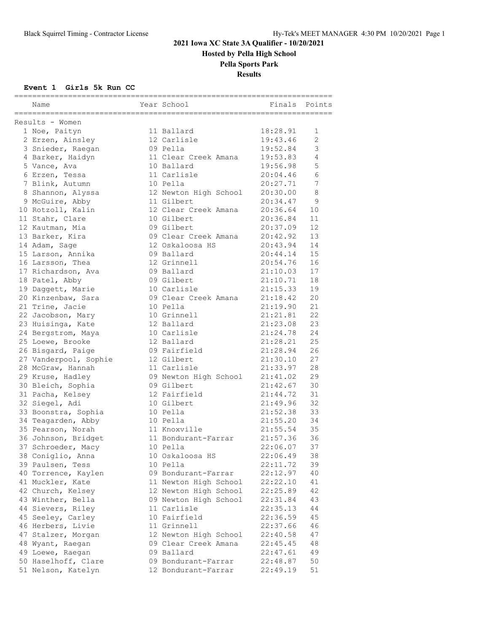**Hosted by Pella High School**

### **Pella Sports Park**

**Results**

#### **Event 1 Girls 5k Run CC**

| ======================================<br>------------------------------------<br>Results - Women<br>18:28.91<br>1 Noe, Paityn<br>11 Ballard<br>1<br>19:43.46<br>2<br>2 Erzen, Ainsley<br>12 Carlisle<br>3<br>3 Snieder, Raegan<br>19:52.84<br>09 Pella<br>4 Barker, Haidyn<br>19:53.83<br>4<br>11 Clear Creek Amana<br>5<br>10 Ballard<br>19:56.98<br>5 Vance, Ava<br>6<br>11 Carlisle<br>20:04.46<br>6 Erzen, Tessa<br>7<br>20:27.71<br>7 Blink, Autumn<br>10 Pella<br>8<br>8 Shannon, Alyssa<br>12 Newton High School<br>20:30.00<br>9<br>9 McGuire, Abby<br>11 Gilbert<br>20:34.47<br>10 Rotzoll, Kalin<br>12 Clear Creek Amana<br>20:36.64<br>10<br>11<br>11 Stahr, Clare<br>10 Gilbert<br>20:36.84<br>12<br>09 Gilbert<br>20:37.09<br>12 Kautman, Mia<br>13<br>13 Barker, Kira<br>09 Clear Creek Amana<br>20:42.92<br>14<br>14 Adam, Sage<br>12 Oskaloosa HS<br>20:43.94<br>15<br>15 Larson, Annika<br>20:44.14<br>09 Ballard<br>16<br>16 Larsson, Thea<br>12 Grinnell<br>20:54.76<br>17<br>09 Ballard<br>21:10.03<br>17 Richardson, Ava<br>18<br>09 Gilbert<br>21:10.71<br>18 Patel, Abby<br>19<br>10 Carlisle<br>21:15.33<br>19 Daggett, Marie<br>21:18.42<br>20<br>20 Kinzenbaw, Sara<br>09 Clear Creek Amana<br>21<br>21 Trine, Jacie<br>10 Pella<br>21:19.90<br>22<br>21:21.81<br>22 Jacobson, Mary<br>10 Grinnell<br>23<br>12 Ballard<br>21:23.08<br>23 Huisinga, Kate<br>24<br>10 Carlisle<br>21:24.78<br>24 Bergstrom, Maya<br>25<br>12 Ballard<br>21:28.21<br>25 Loewe, Brooke<br>09 Fairfield<br>21:28.94<br>26<br>26 Bisgard, Paige<br>27<br>27 Vanderpool, Sophie<br>12 Gilbert<br>21:30.10<br>28<br>28 McGraw, Hannah<br>11 Carlisle<br>21:33.97<br>29<br>29 Kruse, Hadley<br>21:41.02<br>09 Newton High School<br>30<br>09 Gilbert<br>21:42.67<br>30 Bleich, Sophia<br>31<br>12 Fairfield<br>21:44.72<br>31 Pacha, Kelsey<br>32<br>10 Gilbert<br>32 Siegel, Adi<br>21:49.96<br>33<br>33 Boonstra, Sophia<br>21:52.38<br>10 Pella<br>34<br>21:55.20<br>34 Teagarden, Abby<br>10 Pella |
|----------------------------------------------------------------------------------------------------------------------------------------------------------------------------------------------------------------------------------------------------------------------------------------------------------------------------------------------------------------------------------------------------------------------------------------------------------------------------------------------------------------------------------------------------------------------------------------------------------------------------------------------------------------------------------------------------------------------------------------------------------------------------------------------------------------------------------------------------------------------------------------------------------------------------------------------------------------------------------------------------------------------------------------------------------------------------------------------------------------------------------------------------------------------------------------------------------------------------------------------------------------------------------------------------------------------------------------------------------------------------------------------------------------------------------------------------------------------------------------------------------------------------------------------------------------------------------------------------------------------------------------------------------------------------------------------------------------------------------------------------------------------------------------------------------------------------------------------------------------------------------------------------------------------------------------------------------------------------------------------------------|
|                                                                                                                                                                                                                                                                                                                                                                                                                                                                                                                                                                                                                                                                                                                                                                                                                                                                                                                                                                                                                                                                                                                                                                                                                                                                                                                                                                                                                                                                                                                                                                                                                                                                                                                                                                                                                                                                                                                                                                                                          |
|                                                                                                                                                                                                                                                                                                                                                                                                                                                                                                                                                                                                                                                                                                                                                                                                                                                                                                                                                                                                                                                                                                                                                                                                                                                                                                                                                                                                                                                                                                                                                                                                                                                                                                                                                                                                                                                                                                                                                                                                          |
|                                                                                                                                                                                                                                                                                                                                                                                                                                                                                                                                                                                                                                                                                                                                                                                                                                                                                                                                                                                                                                                                                                                                                                                                                                                                                                                                                                                                                                                                                                                                                                                                                                                                                                                                                                                                                                                                                                                                                                                                          |
|                                                                                                                                                                                                                                                                                                                                                                                                                                                                                                                                                                                                                                                                                                                                                                                                                                                                                                                                                                                                                                                                                                                                                                                                                                                                                                                                                                                                                                                                                                                                                                                                                                                                                                                                                                                                                                                                                                                                                                                                          |
|                                                                                                                                                                                                                                                                                                                                                                                                                                                                                                                                                                                                                                                                                                                                                                                                                                                                                                                                                                                                                                                                                                                                                                                                                                                                                                                                                                                                                                                                                                                                                                                                                                                                                                                                                                                                                                                                                                                                                                                                          |
|                                                                                                                                                                                                                                                                                                                                                                                                                                                                                                                                                                                                                                                                                                                                                                                                                                                                                                                                                                                                                                                                                                                                                                                                                                                                                                                                                                                                                                                                                                                                                                                                                                                                                                                                                                                                                                                                                                                                                                                                          |
|                                                                                                                                                                                                                                                                                                                                                                                                                                                                                                                                                                                                                                                                                                                                                                                                                                                                                                                                                                                                                                                                                                                                                                                                                                                                                                                                                                                                                                                                                                                                                                                                                                                                                                                                                                                                                                                                                                                                                                                                          |
|                                                                                                                                                                                                                                                                                                                                                                                                                                                                                                                                                                                                                                                                                                                                                                                                                                                                                                                                                                                                                                                                                                                                                                                                                                                                                                                                                                                                                                                                                                                                                                                                                                                                                                                                                                                                                                                                                                                                                                                                          |
|                                                                                                                                                                                                                                                                                                                                                                                                                                                                                                                                                                                                                                                                                                                                                                                                                                                                                                                                                                                                                                                                                                                                                                                                                                                                                                                                                                                                                                                                                                                                                                                                                                                                                                                                                                                                                                                                                                                                                                                                          |
|                                                                                                                                                                                                                                                                                                                                                                                                                                                                                                                                                                                                                                                                                                                                                                                                                                                                                                                                                                                                                                                                                                                                                                                                                                                                                                                                                                                                                                                                                                                                                                                                                                                                                                                                                                                                                                                                                                                                                                                                          |
|                                                                                                                                                                                                                                                                                                                                                                                                                                                                                                                                                                                                                                                                                                                                                                                                                                                                                                                                                                                                                                                                                                                                                                                                                                                                                                                                                                                                                                                                                                                                                                                                                                                                                                                                                                                                                                                                                                                                                                                                          |
|                                                                                                                                                                                                                                                                                                                                                                                                                                                                                                                                                                                                                                                                                                                                                                                                                                                                                                                                                                                                                                                                                                                                                                                                                                                                                                                                                                                                                                                                                                                                                                                                                                                                                                                                                                                                                                                                                                                                                                                                          |
|                                                                                                                                                                                                                                                                                                                                                                                                                                                                                                                                                                                                                                                                                                                                                                                                                                                                                                                                                                                                                                                                                                                                                                                                                                                                                                                                                                                                                                                                                                                                                                                                                                                                                                                                                                                                                                                                                                                                                                                                          |
|                                                                                                                                                                                                                                                                                                                                                                                                                                                                                                                                                                                                                                                                                                                                                                                                                                                                                                                                                                                                                                                                                                                                                                                                                                                                                                                                                                                                                                                                                                                                                                                                                                                                                                                                                                                                                                                                                                                                                                                                          |
|                                                                                                                                                                                                                                                                                                                                                                                                                                                                                                                                                                                                                                                                                                                                                                                                                                                                                                                                                                                                                                                                                                                                                                                                                                                                                                                                                                                                                                                                                                                                                                                                                                                                                                                                                                                                                                                                                                                                                                                                          |
|                                                                                                                                                                                                                                                                                                                                                                                                                                                                                                                                                                                                                                                                                                                                                                                                                                                                                                                                                                                                                                                                                                                                                                                                                                                                                                                                                                                                                                                                                                                                                                                                                                                                                                                                                                                                                                                                                                                                                                                                          |
|                                                                                                                                                                                                                                                                                                                                                                                                                                                                                                                                                                                                                                                                                                                                                                                                                                                                                                                                                                                                                                                                                                                                                                                                                                                                                                                                                                                                                                                                                                                                                                                                                                                                                                                                                                                                                                                                                                                                                                                                          |
|                                                                                                                                                                                                                                                                                                                                                                                                                                                                                                                                                                                                                                                                                                                                                                                                                                                                                                                                                                                                                                                                                                                                                                                                                                                                                                                                                                                                                                                                                                                                                                                                                                                                                                                                                                                                                                                                                                                                                                                                          |
|                                                                                                                                                                                                                                                                                                                                                                                                                                                                                                                                                                                                                                                                                                                                                                                                                                                                                                                                                                                                                                                                                                                                                                                                                                                                                                                                                                                                                                                                                                                                                                                                                                                                                                                                                                                                                                                                                                                                                                                                          |
|                                                                                                                                                                                                                                                                                                                                                                                                                                                                                                                                                                                                                                                                                                                                                                                                                                                                                                                                                                                                                                                                                                                                                                                                                                                                                                                                                                                                                                                                                                                                                                                                                                                                                                                                                                                                                                                                                                                                                                                                          |
|                                                                                                                                                                                                                                                                                                                                                                                                                                                                                                                                                                                                                                                                                                                                                                                                                                                                                                                                                                                                                                                                                                                                                                                                                                                                                                                                                                                                                                                                                                                                                                                                                                                                                                                                                                                                                                                                                                                                                                                                          |
|                                                                                                                                                                                                                                                                                                                                                                                                                                                                                                                                                                                                                                                                                                                                                                                                                                                                                                                                                                                                                                                                                                                                                                                                                                                                                                                                                                                                                                                                                                                                                                                                                                                                                                                                                                                                                                                                                                                                                                                                          |
|                                                                                                                                                                                                                                                                                                                                                                                                                                                                                                                                                                                                                                                                                                                                                                                                                                                                                                                                                                                                                                                                                                                                                                                                                                                                                                                                                                                                                                                                                                                                                                                                                                                                                                                                                                                                                                                                                                                                                                                                          |
|                                                                                                                                                                                                                                                                                                                                                                                                                                                                                                                                                                                                                                                                                                                                                                                                                                                                                                                                                                                                                                                                                                                                                                                                                                                                                                                                                                                                                                                                                                                                                                                                                                                                                                                                                                                                                                                                                                                                                                                                          |
|                                                                                                                                                                                                                                                                                                                                                                                                                                                                                                                                                                                                                                                                                                                                                                                                                                                                                                                                                                                                                                                                                                                                                                                                                                                                                                                                                                                                                                                                                                                                                                                                                                                                                                                                                                                                                                                                                                                                                                                                          |
|                                                                                                                                                                                                                                                                                                                                                                                                                                                                                                                                                                                                                                                                                                                                                                                                                                                                                                                                                                                                                                                                                                                                                                                                                                                                                                                                                                                                                                                                                                                                                                                                                                                                                                                                                                                                                                                                                                                                                                                                          |
|                                                                                                                                                                                                                                                                                                                                                                                                                                                                                                                                                                                                                                                                                                                                                                                                                                                                                                                                                                                                                                                                                                                                                                                                                                                                                                                                                                                                                                                                                                                                                                                                                                                                                                                                                                                                                                                                                                                                                                                                          |
|                                                                                                                                                                                                                                                                                                                                                                                                                                                                                                                                                                                                                                                                                                                                                                                                                                                                                                                                                                                                                                                                                                                                                                                                                                                                                                                                                                                                                                                                                                                                                                                                                                                                                                                                                                                                                                                                                                                                                                                                          |
|                                                                                                                                                                                                                                                                                                                                                                                                                                                                                                                                                                                                                                                                                                                                                                                                                                                                                                                                                                                                                                                                                                                                                                                                                                                                                                                                                                                                                                                                                                                                                                                                                                                                                                                                                                                                                                                                                                                                                                                                          |
|                                                                                                                                                                                                                                                                                                                                                                                                                                                                                                                                                                                                                                                                                                                                                                                                                                                                                                                                                                                                                                                                                                                                                                                                                                                                                                                                                                                                                                                                                                                                                                                                                                                                                                                                                                                                                                                                                                                                                                                                          |
|                                                                                                                                                                                                                                                                                                                                                                                                                                                                                                                                                                                                                                                                                                                                                                                                                                                                                                                                                                                                                                                                                                                                                                                                                                                                                                                                                                                                                                                                                                                                                                                                                                                                                                                                                                                                                                                                                                                                                                                                          |
|                                                                                                                                                                                                                                                                                                                                                                                                                                                                                                                                                                                                                                                                                                                                                                                                                                                                                                                                                                                                                                                                                                                                                                                                                                                                                                                                                                                                                                                                                                                                                                                                                                                                                                                                                                                                                                                                                                                                                                                                          |
|                                                                                                                                                                                                                                                                                                                                                                                                                                                                                                                                                                                                                                                                                                                                                                                                                                                                                                                                                                                                                                                                                                                                                                                                                                                                                                                                                                                                                                                                                                                                                                                                                                                                                                                                                                                                                                                                                                                                                                                                          |
|                                                                                                                                                                                                                                                                                                                                                                                                                                                                                                                                                                                                                                                                                                                                                                                                                                                                                                                                                                                                                                                                                                                                                                                                                                                                                                                                                                                                                                                                                                                                                                                                                                                                                                                                                                                                                                                                                                                                                                                                          |
|                                                                                                                                                                                                                                                                                                                                                                                                                                                                                                                                                                                                                                                                                                                                                                                                                                                                                                                                                                                                                                                                                                                                                                                                                                                                                                                                                                                                                                                                                                                                                                                                                                                                                                                                                                                                                                                                                                                                                                                                          |
| 11 Knoxville<br>35<br>35 Pearson, Norah<br>21:55.54                                                                                                                                                                                                                                                                                                                                                                                                                                                                                                                                                                                                                                                                                                                                                                                                                                                                                                                                                                                                                                                                                                                                                                                                                                                                                                                                                                                                                                                                                                                                                                                                                                                                                                                                                                                                                                                                                                                                                      |
| 36<br>36 Johnson, Bridget<br>11 Bondurant-Farrar<br>21:57.36                                                                                                                                                                                                                                                                                                                                                                                                                                                                                                                                                                                                                                                                                                                                                                                                                                                                                                                                                                                                                                                                                                                                                                                                                                                                                                                                                                                                                                                                                                                                                                                                                                                                                                                                                                                                                                                                                                                                             |
| 37<br>22:06.07<br>37 Schroeder, Macy<br>10 Pella                                                                                                                                                                                                                                                                                                                                                                                                                                                                                                                                                                                                                                                                                                                                                                                                                                                                                                                                                                                                                                                                                                                                                                                                                                                                                                                                                                                                                                                                                                                                                                                                                                                                                                                                                                                                                                                                                                                                                         |
| 38 Coniglio, Anna<br>10 Oskaloosa HS<br>22:06.49<br>38                                                                                                                                                                                                                                                                                                                                                                                                                                                                                                                                                                                                                                                                                                                                                                                                                                                                                                                                                                                                                                                                                                                                                                                                                                                                                                                                                                                                                                                                                                                                                                                                                                                                                                                                                                                                                                                                                                                                                   |
| 39 Paulsen, Tess<br>39<br>10 Pella<br>22:11.72                                                                                                                                                                                                                                                                                                                                                                                                                                                                                                                                                                                                                                                                                                                                                                                                                                                                                                                                                                                                                                                                                                                                                                                                                                                                                                                                                                                                                                                                                                                                                                                                                                                                                                                                                                                                                                                                                                                                                           |
| 40 Torrence, Kaylen<br>09 Bondurant-Farrar<br>22:12.97<br>40                                                                                                                                                                                                                                                                                                                                                                                                                                                                                                                                                                                                                                                                                                                                                                                                                                                                                                                                                                                                                                                                                                                                                                                                                                                                                                                                                                                                                                                                                                                                                                                                                                                                                                                                                                                                                                                                                                                                             |
| 41<br>41 Muckler, Kate<br>11 Newton High School<br>22:22.10                                                                                                                                                                                                                                                                                                                                                                                                                                                                                                                                                                                                                                                                                                                                                                                                                                                                                                                                                                                                                                                                                                                                                                                                                                                                                                                                                                                                                                                                                                                                                                                                                                                                                                                                                                                                                                                                                                                                              |
| 42<br>42 Church, Kelsey<br>12 Newton High School<br>22:25.89                                                                                                                                                                                                                                                                                                                                                                                                                                                                                                                                                                                                                                                                                                                                                                                                                                                                                                                                                                                                                                                                                                                                                                                                                                                                                                                                                                                                                                                                                                                                                                                                                                                                                                                                                                                                                                                                                                                                             |
| 09 Newton High School<br>43<br>43 Winther, Bella<br>22:31.84                                                                                                                                                                                                                                                                                                                                                                                                                                                                                                                                                                                                                                                                                                                                                                                                                                                                                                                                                                                                                                                                                                                                                                                                                                                                                                                                                                                                                                                                                                                                                                                                                                                                                                                                                                                                                                                                                                                                             |
| 44 Sievers, Riley<br>44<br>11 Carlisle<br>22:35.13                                                                                                                                                                                                                                                                                                                                                                                                                                                                                                                                                                                                                                                                                                                                                                                                                                                                                                                                                                                                                                                                                                                                                                                                                                                                                                                                                                                                                                                                                                                                                                                                                                                                                                                                                                                                                                                                                                                                                       |
| 45 Seeley, Carley<br>10 Fairfield<br>22:36.59<br>45                                                                                                                                                                                                                                                                                                                                                                                                                                                                                                                                                                                                                                                                                                                                                                                                                                                                                                                                                                                                                                                                                                                                                                                                                                                                                                                                                                                                                                                                                                                                                                                                                                                                                                                                                                                                                                                                                                                                                      |
| 46 Herbers, Livie<br>11 Grinnell<br>46<br>22:37.66                                                                                                                                                                                                                                                                                                                                                                                                                                                                                                                                                                                                                                                                                                                                                                                                                                                                                                                                                                                                                                                                                                                                                                                                                                                                                                                                                                                                                                                                                                                                                                                                                                                                                                                                                                                                                                                                                                                                                       |
| 12 Newton High School<br>47 Stalzer, Morgan<br>22:40.58<br>47                                                                                                                                                                                                                                                                                                                                                                                                                                                                                                                                                                                                                                                                                                                                                                                                                                                                                                                                                                                                                                                                                                                                                                                                                                                                                                                                                                                                                                                                                                                                                                                                                                                                                                                                                                                                                                                                                                                                            |
| 09 Clear Creek Amana<br>48<br>48 Wyant, Raegan<br>22:45.45                                                                                                                                                                                                                                                                                                                                                                                                                                                                                                                                                                                                                                                                                                                                                                                                                                                                                                                                                                                                                                                                                                                                                                                                                                                                                                                                                                                                                                                                                                                                                                                                                                                                                                                                                                                                                                                                                                                                               |
| 09 Ballard<br>49 Loewe, Raegan<br>49<br>22:47.61                                                                                                                                                                                                                                                                                                                                                                                                                                                                                                                                                                                                                                                                                                                                                                                                                                                                                                                                                                                                                                                                                                                                                                                                                                                                                                                                                                                                                                                                                                                                                                                                                                                                                                                                                                                                                                                                                                                                                         |
| 50<br>50 Haselhoff, Clare<br>09 Bondurant-Farrar<br>22:48.87                                                                                                                                                                                                                                                                                                                                                                                                                                                                                                                                                                                                                                                                                                                                                                                                                                                                                                                                                                                                                                                                                                                                                                                                                                                                                                                                                                                                                                                                                                                                                                                                                                                                                                                                                                                                                                                                                                                                             |
| 51 Nelson, Katelyn<br>12 Bondurant-Farrar<br>22:49.19<br>51                                                                                                                                                                                                                                                                                                                                                                                                                                                                                                                                                                                                                                                                                                                                                                                                                                                                                                                                                                                                                                                                                                                                                                                                                                                                                                                                                                                                                                                                                                                                                                                                                                                                                                                                                                                                                                                                                                                                              |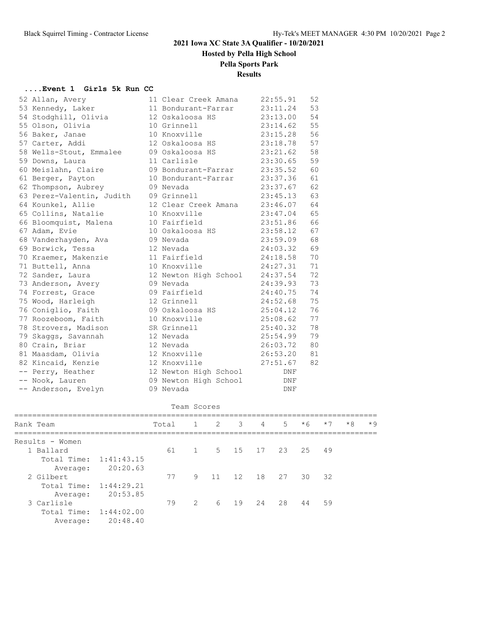**Hosted by Pella High School**

### **Pella Sports Park**

#### **Results**

#### **....Event 1 Girls 5k Run CC**

| 52 Allan, Avery           | 11 Clear Creek Amana  | 22:55.91 | 52 |
|---------------------------|-----------------------|----------|----|
| 53 Kennedy, Laker         | 11 Bondurant-Farrar   | 23:11.24 | 53 |
| 54 Stodghill, Olivia      | 12 Oskaloosa HS       | 23:13.00 | 54 |
| 55 Olson, Olivia          | 10 Grinnell           | 23:14.62 | 55 |
| 56 Baker, Janae           | 10 Knoxville          | 23:15.28 | 56 |
| 57 Carter, Addi           | 12 Oskaloosa HS       | 23:18.78 | 57 |
| 58 Wells-Stout, Emmalee   | 09 Oskaloosa HS       | 23:21.62 | 58 |
| 59 Downs, Laura           | 11 Carlisle           | 23:30.65 | 59 |
| 60 Meislahn, Claire       | 09 Bondurant-Farrar   | 23:35.52 | 60 |
| 61 Berger, Payton         | 10 Bondurant-Farrar   | 23:37.36 | 61 |
| 62 Thompson, Aubrey       | 09 Nevada             | 23:37.67 | 62 |
| 63 Perez-Valentin, Judith | 09 Grinnell           | 23:45.13 | 63 |
| 64 Kounkel, Allie         | 12 Clear Creek Amana  | 23:46.07 | 64 |
| 65 Collins, Natalie       | 10 Knoxville          | 23:47.04 | 65 |
| 66 Bloomquist, Malena     | 10 Fairfield          | 23:51.86 | 66 |
| 67 Adam, Evie             | 10 Oskaloosa HS       | 23:58.12 | 67 |
| 68 Vanderhayden, Ava      | 09 Nevada             | 23:59.09 | 68 |
| 69 Borwick, Tessa         | 12 Nevada             | 24:03.32 | 69 |
| 70 Kraemer, Makenzie      | 11 Fairfield          | 24:18.58 | 70 |
| 71 Buttell, Anna          | 10 Knoxville          | 24:27.31 | 71 |
| 72 Sander, Laura          | 12 Newton High School | 24:37.54 | 72 |
| 73 Anderson, Avery        | 09 Nevada             | 24:39.93 | 73 |
| 74 Forrest, Grace         | 09 Fairfield          | 24:40.75 | 74 |
| 75 Wood, Harleigh         | 12 Grinnell           | 24:52.68 | 75 |
| 76 Coniglio, Faith        | 09 Oskaloosa HS       | 25:04.12 | 76 |
| 77 Roozeboom, Faith       | 10 Knoxville          | 25:08.62 | 77 |
| 78 Strovers, Madison      | SR Grinnell           | 25:40.32 | 78 |
| 79 Skaggs, Savannah       | 12 Nevada             | 25:54.99 | 79 |
| 80 Crain, Briar           | 12 Nevada             | 26:03.72 | 80 |
| 81 Maasdam, Olivia        | 12 Knoxville          | 26:53.20 | 81 |
| 82 Kincaid, Kenzie        | 12 Knoxville          | 27:51.67 | 82 |
| -- Perry, Heather         | 12 Newton High School | DNF      |    |
| -- Nook, Lauren           | 09 Newton High School | DNF      |    |
| -- Anderson, Evelyn       | 09 Nevada             | DNF      |    |
|                           |                       |          |    |

#### Team Scores

| Rank Team              |            | Total |               | $1 \t2 \t3$ |      | 4               | 5  | $*6$  | $*7$ | $*8$ | $*9$ |
|------------------------|------------|-------|---------------|-------------|------|-----------------|----|-------|------|------|------|
| Results - Women        |            |       |               |             |      |                 |    |       |      |      |      |
| 1 Ballard              |            | 61    |               |             |      | 1 5 15 17 23 25 |    |       | 49   |      |      |
| Total Time: 1:41:43.15 |            |       |               |             |      |                 |    |       |      |      |      |
| Average:               | 20:20.63   |       |               |             |      |                 |    |       |      |      |      |
| 2 Gilbert              |            | 77    | 9             | 11 12 18    |      |                 | 27 | 30 32 |      |      |      |
| Total Time: 1:44:29.21 |            |       |               |             |      |                 |    |       |      |      |      |
| Average:               | 20:53.85   |       |               |             |      |                 |    |       |      |      |      |
| 3 Carlisle             |            | 79    | $\mathcal{L}$ |             | 6 19 | 24              | 28 | 44    | 59   |      |      |
| Total Time:            | 1:44:02.00 |       |               |             |      |                 |    |       |      |      |      |
| Average:               | 20:48.40   |       |               |             |      |                 |    |       |      |      |      |
|                        |            |       |               |             |      |                 |    |       |      |      |      |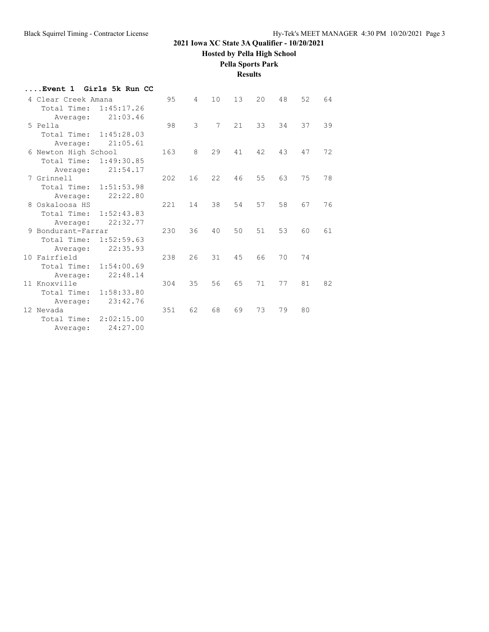**Hosted by Pella High School**

### **Pella Sports Park**

**Results**

| Event 1 Girls 5k Run CC   |     |                 |                |    |    |    |    |    |
|---------------------------|-----|-----------------|----------------|----|----|----|----|----|
| 4 Clear Creek Amana       | 95  | $4\overline{ }$ | 10             | 13 | 20 | 48 | 52 | 64 |
| Total Time: 1:45:17.26    |     |                 |                |    |    |    |    |    |
| 21:03.46<br>Average:      |     |                 |                |    |    |    |    |    |
| 5 Pella                   | 98  | 3               | $7\phantom{.}$ | 21 | 33 | 34 | 37 | 39 |
| Total Time: 1:45:28.03    |     |                 |                |    |    |    |    |    |
| 21:05.61<br>Average:      |     |                 |                |    |    |    |    |    |
| 6 Newton High School      | 163 | 8               | 29             | 41 | 42 | 43 | 47 | 72 |
| Total Time:<br>1:49:30.85 |     |                 |                |    |    |    |    |    |
| 21:54.17<br>Average:      |     |                 |                |    |    |    |    |    |
| 7 Grinnell                | 202 | 16              | 22             | 46 | 55 | 63 | 75 | 78 |
| Total Time: 1:51:53.98    |     |                 |                |    |    |    |    |    |
| 22:22.80<br>Average:      |     |                 |                |    |    |    |    |    |
| 8 Oskaloosa HS            | 221 | 14              | 38             | 54 | 57 | 58 | 67 | 76 |
| 1:52:43.83<br>Total Time: |     |                 |                |    |    |    |    |    |
| 22:32.77<br>Average:      |     |                 |                |    |    |    |    |    |
| 9 Bondurant-Farrar        | 230 | 36              | 40             | 50 | 51 | 53 | 60 | 61 |
| Total Time:<br>1:52:59.63 |     |                 |                |    |    |    |    |    |
| 22:35.93<br>Average:      |     |                 |                |    |    |    |    |    |
| 10 Fairfield              | 238 | 26              | 31             | 45 | 66 | 70 | 74 |    |
| Total Time:<br>1:54:00.69 |     |                 |                |    |    |    |    |    |
| 22:48.14<br>Average:      |     |                 |                |    |    |    |    |    |
| 11 Knoxville              | 304 | 35              | 56             | 65 | 71 | 77 | 81 | 82 |
| Total Time:<br>1:58:33.80 |     |                 |                |    |    |    |    |    |
| 23:42.76<br>Average:      |     |                 |                |    |    |    |    |    |
| 12 Nevada                 | 351 | 62              | 68             | 69 | 73 | 79 | 80 |    |
| Total Time: 2:02:15.00    |     |                 |                |    |    |    |    |    |
| 24:27.00<br>Average:      |     |                 |                |    |    |    |    |    |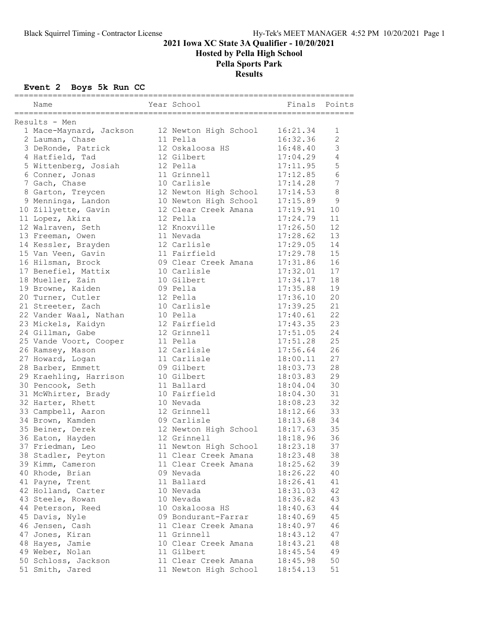Hosted by Pella High School

# Pella Sports Park

Results

## Event 2 Boys 5k Run CC

|                                            | Year School              | ====<br>Finals       | Points         |
|--------------------------------------------|--------------------------|----------------------|----------------|
| Name                                       |                          |                      |                |
| Results - Men                              |                          |                      |                |
| 1 Mace-Maynard, Jackson                    | 12 Newton High School    | 16:21.34             | 1              |
| 2 Lauman, Chase                            | 11 Pella                 | 16:32.36             | $\overline{c}$ |
| 3 DeRonde, Patrick                         | 12 Oskaloosa HS          | 16:48.40             | 3              |
| 4 Hatfield, Tad                            | 12 Gilbert               | 17:04.29             | 4              |
| 5 Wittenberg, Josiah                       | 12 Pella                 | 17:11.95             | 5              |
| 6 Conner, Jonas                            | 11 Grinnell              | 17:12.85             | 6              |
| 7 Gach, Chase                              | 10 Carlisle              | 17:14.28             | 7              |
| 8 Garton, Treycen                          | 12 Newton High School    | 17:14.53             | $\,8\,$        |
| 9 Menninga, Landon                         | 10 Newton High School    | 17:15.89             | 9              |
| 10 Zillyette, Gavin                        | 12 Clear Creek Amana     | 17:19.91             | 10             |
| 11 Lopez, Akira                            | 12 Pella                 | 17:24.79             | 11             |
| 12 Walraven, Seth                          | 12 Knoxville             | 17:26.50             | 12             |
| 13 Freeman, Owen                           | 11 Nevada                | 17:28.62             | 13             |
| 14 Kessler, Brayden                        | 12 Carlisle              | 17:29.05             | 14             |
| 15 Van Veen, Gavin                         | 11 Fairfield             | 17:29.78             | 15             |
| 16 Hilsman, Brock                          | 09 Clear Creek Amana     | 17:31.86             | 16             |
| 17 Benefiel, Mattix                        | 10 Carlisle              | 17:32.01             | 17             |
| 18 Mueller, Zain                           | 10 Gilbert               | 17:34.17             | 18             |
| 19 Browne, Kaiden                          | 09 Pella                 | 17:35.88             | 19             |
| 20 Turner, Cutler                          | 12 Pella                 | 17:36.10             | 20             |
| 21 Streeter, Zach                          | 10 Carlisle              | 17:39.25             | 21             |
| 22 Vander Waal, Nathan                     | 10 Pella<br>12 Fairfield | 17:40.61             | 22             |
| 23 Mickels, Kaidyn                         |                          | 17:43.35             | 23             |
| 24 Gillman, Gabe                           | 12 Grinnell              | 17:51.05             | 24<br>25       |
| 25 Vande Voort, Cooper<br>26 Ramsey, Mason | 11 Pella<br>12 Carlisle  | 17:51.28<br>17:56.64 | 26             |
| 27 Howard, Logan                           | 11 Carlisle              | 18:00.11             | 27             |
| 28 Barber, Emmett                          | 09 Gilbert               | 18:03.73             | 28             |
| 29 Kraehling, Harrison                     | 10 Gilbert               | 18:03.83             | 29             |
| 30 Pencook, Seth                           | 11 Ballard               | 18:04.04             | 30             |
| 31 McWhirter, Brady                        | 10 Fairfield             | 18:04.30             | 31             |
| 32 Harter, Rhett                           | 10 Nevada                | 18:08.23             | 32             |
| 33 Campbell, Aaron                         | 12 Grinnell              | 18:12.66             | 33             |
| 34 Brown, Kamden                           | 09 Carlisle              | 18:13.68             | 34             |
| 35 Beiner, Derek                           | 12 Newton High School    | 18:17.63             | 35             |
| 36 Eaton, Hayden                           | 12 Grinnell              | 18:18.96             | 36             |
| 37 Friedman, Leo                           | 11 Newton High School    | 18:23.18             | 37             |
| 38 Stadler, Peyton                         | 11 Clear Creek Amana     | 18:23.48             | 38             |
| 39 Kimm, Cameron                           | 11 Clear Creek Amana     | 18:25.62             | 39             |
| 40 Rhode, Brian                            | 09 Nevada                | 18:26.22             | 40             |
| 41 Payne, Trent                            | 11 Ballard               | 18:26.41             | 41             |
| 42 Holland, Carter                         | 10 Nevada                | 18:31.03             | 42             |
| 43 Steele, Rowan                           | 10 Nevada                | 18:36.82             | 43             |
| 44 Peterson, Reed                          | 10 Oskaloosa HS          | 18:40.63             | 44             |
| 45 Davis, Nyle                             | 09 Bondurant-Farrar      | 18:40.69             | 45             |
| 46 Jensen, Cash                            | 11 Clear Creek Amana     | 18:40.97             | 46             |
| 47 Jones, Kiran                            | 11 Grinnell              | 18:43.12             | 47             |
| 48 Hayes, Jamie                            | 10 Clear Creek Amana     | 18:43.21             | 48             |
| 49 Weber, Nolan                            | 11 Gilbert               | 18:45.54             | 49             |
| 50 Schloss, Jackson                        | 11 Clear Creek Amana     | 18:45.98             | 50             |
| 51 Smith, Jared                            | 11 Newton High School    | 18:54.13             | 51             |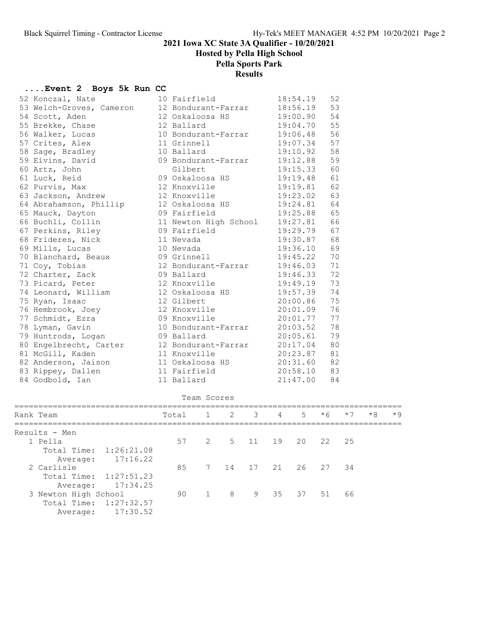Hosted by Pella High School

## Pella Sports Park

## Results

### ....Event 2 Boys 5k Run CC

|  | 52 Konczal, Nate         | 10 Fairfield          | 18:54.19 | 52 |
|--|--------------------------|-----------------------|----------|----|
|  | 53 Welch-Groves, Cameron | 12 Bondurant-Farrar   | 18:56.19 | 53 |
|  | 54 Scott, Aden           | 12 Oskaloosa HS       | 19:00.90 | 54 |
|  | 55 Brekke, Chase         | 12 Ballard            | 19:04.70 | 55 |
|  | 56 Walker, Lucas         | 10 Bondurant-Farrar   | 19:06.48 | 56 |
|  | 57 Crites, Alex          | 11 Grinnell           | 19:07.34 | 57 |
|  | 58 Sage, Bradley         | 10 Ballard            | 19:10.92 | 58 |
|  | 59 Eivins, David         | 09 Bondurant-Farrar   | 19:12.88 | 59 |
|  | 60 Artz, John            | Gilbert               | 19:15.33 | 60 |
|  | 61 Luck, Reid            | 09 Oskaloosa HS       | 19:19.48 | 61 |
|  | 62 Purvis, Max           | 12 Knoxville          | 19:19.81 | 62 |
|  | 63 Jackson, Andrew       | 12 Knoxville          | 19:23.02 | 63 |
|  | 64 Abrahamson, Phillip   | 12 Oskaloosa HS       | 19:24.81 | 64 |
|  | 65 Mauck, Dayton         | 09 Fairfield          | 19:25.88 | 65 |
|  | 66 Buchli, Collin        | 11 Newton High School | 19:27.81 | 66 |
|  | 67 Perkins, Riley        | 09 Fairfield          | 19:29.79 | 67 |
|  | 68 Frideres, Nick        | 11 Nevada             | 19:30.87 | 68 |
|  | 69 Mills, Lucas          | 10 Nevada             | 19:36.10 | 69 |
|  | 70 Blanchard, Beaux      | 09 Grinnell           | 19:45.22 | 70 |
|  | 71 Coy, Tobias           | 12 Bondurant-Farrar   | 19:46.03 | 71 |
|  | 72 Charter, Zack         | 09 Ballard            | 19:46.33 | 72 |
|  | 73 Picard, Peter         | 12 Knoxville          | 19:49.19 | 73 |
|  | 74 Leonard, William      | 12 Oskaloosa HS       | 19:57.39 | 74 |
|  | 75 Ryan, Isaac           | 12 Gilbert            | 20:00.86 | 75 |
|  | 76 Hembrook, Joey        | 12 Knoxville          | 20:01.09 | 76 |
|  | 77 Schmidt, Ezra         | 09 Knoxville          | 20:01.77 | 77 |
|  | 78 Lyman, Gavin          | 10 Bondurant-Farrar   | 20:03.52 | 78 |
|  | 79 Huntrods, Logan       | 09 Ballard            | 20:05.61 | 79 |
|  | 80 Engelbrecht, Carter   | 12 Bondurant-Farrar   | 20:17.04 | 80 |
|  | 81 McGill, Kaden         | 11 Knoxville          | 20:23.87 | 81 |
|  | 82 Anderson, Jaison      | 11 Oskaloosa HS       | 20:31.60 | 82 |
|  | 83 Rippey, Dallen        | 11 Fairfield          | 20:58.10 | 83 |
|  | 84 Godbold, Ian          | 11 Ballard            | 21:47.00 | 84 |
|  |                          |                       |          |    |

|                                    |       | Team Scores    |                       |                |                |      |      |      |      |
|------------------------------------|-------|----------------|-----------------------|----------------|----------------|------|------|------|------|
| Rank Team                          | Total |                | $1 \t 2 \t 3$         | $\overline{4}$ | 5 <sup>7</sup> | $*6$ | $*7$ | $*8$ | $*9$ |
| Results - Men                      |       |                |                       |                |                |      |      |      |      |
| 1 Pella                            |       |                | 57 2 5 11 19 20 22 25 |                |                |      |      |      |      |
| Total Time: 1:26:21.08<br>17:16.22 |       |                |                       |                |                |      |      |      |      |
| Average:<br>2 Carlisle             | 85    |                | 7 14 17 21 26 27 34   |                |                |      |      |      |      |
| Total Time: 1:27:51.23             |       |                |                       |                |                |      |      |      |      |
| 17:34.25<br>Average:               |       |                |                       |                |                |      |      |      |      |
| 3 Newton High School               | 90    | $\overline{1}$ | 8 <sup>8</sup>        | 9 35 37 51     |                |      | 66   |      |      |
| Total Time: 1:27:32.57             |       |                |                       |                |                |      |      |      |      |
| 17:30.52<br>Average:               |       |                |                       |                |                |      |      |      |      |